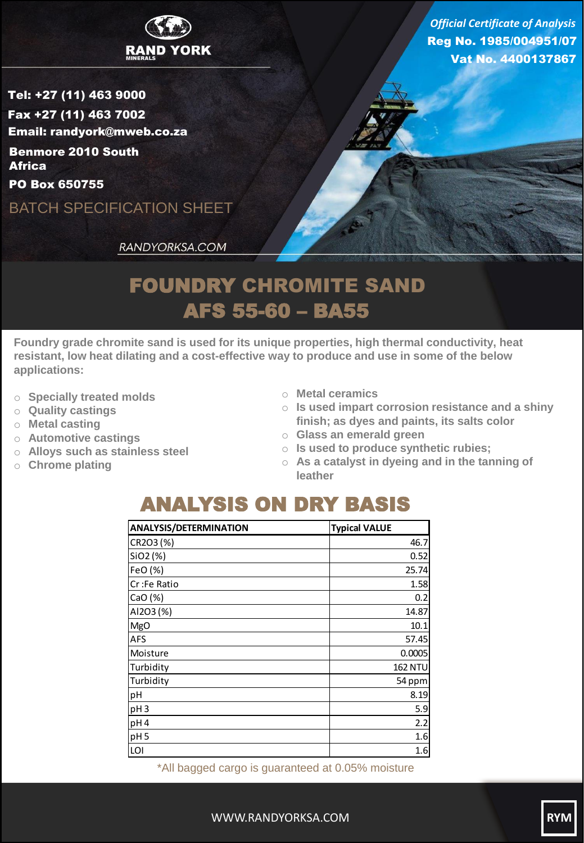

Reg No. 1985/004951/07 Vat No. 4400137867 *Official Certificate of Analysis*

Tel: +27 (11) 463 9000 Fax +27 (11) 463 7002 Email: randyork@mweb.co.za Benmore 2010 South **Africa** 

PO Box 650755

BATCH SPECIFICATION SHEET

RANDYORKSA.COM

## FOUNDRY CHROMITE SAND AFS 55-60 – BA55

**Foundry grade chromite sand is used for its unique properties, high thermal conductivity, heat resistant, low heat dilating and a cost-effective way to produce and use in some of the below applications:**

- o **Specially treated molds**
- o **Quality castings**
- o **Metal casting**
- o **Automotive castings**
- o **Alloys such as stainless steel**
- o **Chrome plating**
- o **Metal ceramics**
- o **Is used impart corrosion resistance and a shiny finish; as dyes and paints, its salts color**
- o **Glass an emerald green**
- o **Is used to produce synthetic rubies;**
- o **As a catalyst in dyeing and in the tanning of leather**

## ANALYSIS ON DRY BASIS

| <b>ANALYSIS/DETERMINATION</b> | <b>Typical VALUE</b> |
|-------------------------------|----------------------|
| CR2O3 (%)                     | 46.7                 |
| SiO2 (%)                      | 0.52                 |
| FeO (%)                       | 25.74                |
| Cr:Fe Ratio                   | 1.58                 |
| CaO(%)                        | 0.2                  |
| AI2O3 (%)                     | 14.87                |
| <b>MgO</b>                    | 10.1                 |
| <b>AFS</b>                    | 57.45                |
| Moisture                      | 0.0005               |
| Turbidity                     | <b>162 NTU</b>       |
| Turbidity                     | 54 ppm               |
| pH                            | 8.19                 |
| pH <sub>3</sub>               | 5.9                  |
| pH4                           | 2.2                  |
| pH <sub>5</sub>               | 1.6                  |
| LOI                           | 1.6                  |

\*All bagged cargo is guaranteed at 0.05% moisture